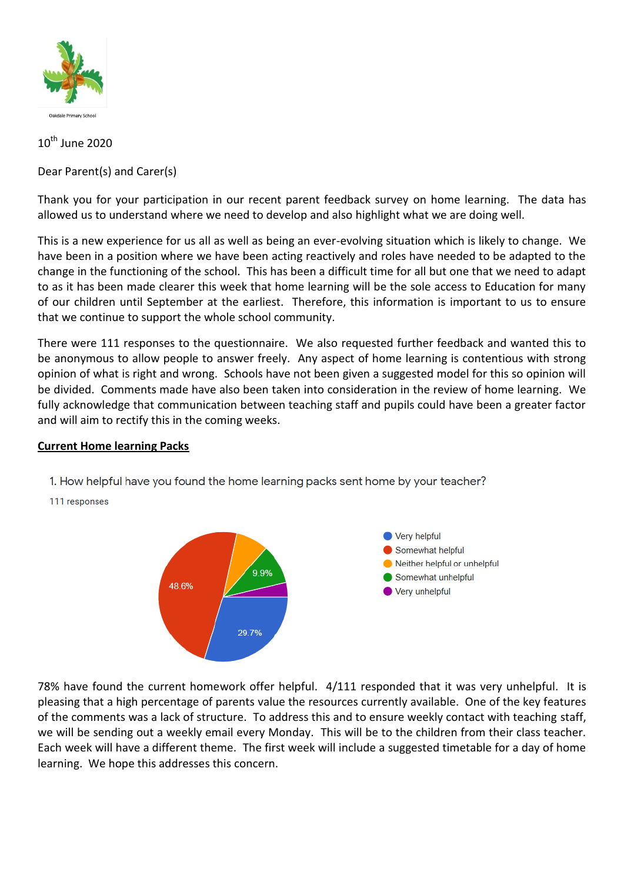

# 10<sup>th</sup> June 2020

Dear Parent(s) and Carer(s)

Thank you for your participation in our recent parent feedback survey on home learning. The data has allowed us to understand where we need to develop and also highlight what we are doing well.

This is a new experience for us all as well as being an ever-evolving situation which is likely to change. We have been in a position where we have been acting reactively and roles have needed to be adapted to the change in the functioning of the school. This has been a difficult time for all but one that we need to adapt to as it has been made clearer this week that home learning will be the sole access to Education for many of our children until September at the earliest. Therefore, this information is important to us to ensure that we continue to support the whole school community.

There were 111 responses to the questionnaire. We also requested further feedback and wanted this to be anonymous to allow people to answer freely. Any aspect of home learning is contentious with strong opinion of what is right and wrong. Schools have not been given a suggested model for this so opinion will be divided. Comments made have also been taken into consideration in the review of home learning. We fully acknowledge that communication between teaching staff and pupils could have been a greater factor and will aim to rectify this in the coming weeks.

## **Current Home learning Packs**



111 responses



78% have found the current homework offer helpful. 4/111 responded that it was very unhelpful. It is pleasing that a high percentage of parents value the resources currently available. One of the key features of the comments was a lack of structure. To address this and to ensure weekly contact with teaching staff, we will be sending out a weekly email every Monday. This will be to the children from their class teacher. Each week will have a different theme. The first week will include a suggested timetable for a day of home learning. We hope this addresses this concern.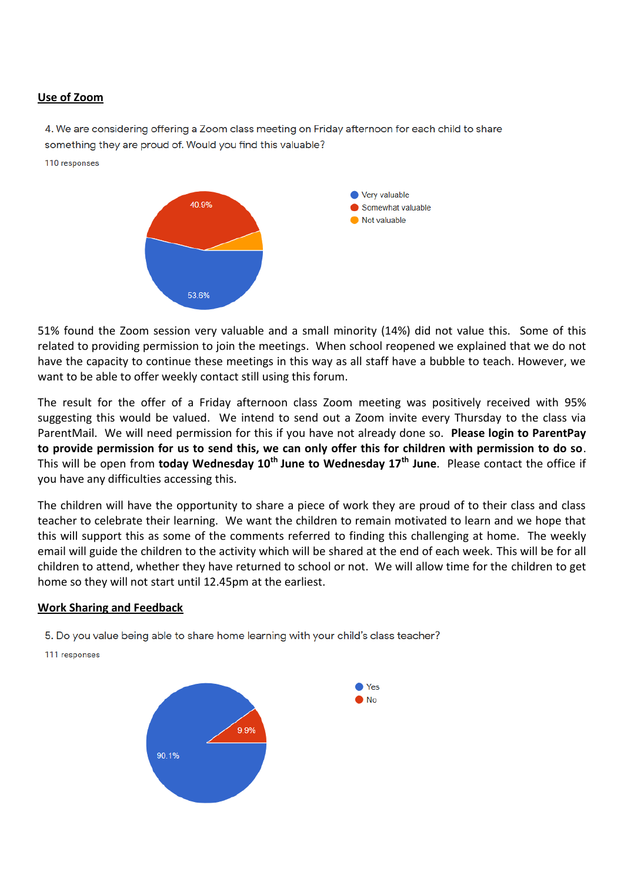#### **Use of Zoom**

4. We are considering offering a Zoom class meeting on Friday afternoon for each child to share something they are proud of. Would you find this valuable?

110 responses



51% found the Zoom session very valuable and a small minority (14%) did not value this. Some of this related to providing permission to join the meetings. When school reopened we explained that we do not have the capacity to continue these meetings in this way as all staff have a bubble to teach. However, we want to be able to offer weekly contact still using this forum.

The result for the offer of a Friday afternoon class Zoom meeting was positively received with 95% suggesting this would be valued. We intend to send out a Zoom invite every Thursday to the class via ParentMail. We will need permission for this if you have not already done so. **Please login to ParentPay to provide permission for us to send this, we can only offer this for children with permission to do so**. This will be open from **today Wednesday 10th June to Wednesday 17th June**. Please contact the office if you have any difficulties accessing this.

The children will have the opportunity to share a piece of work they are proud of to their class and class teacher to celebrate their learning. We want the children to remain motivated to learn and we hope that this will support this as some of the comments referred to finding this challenging at home. The weekly email will guide the children to the activity which will be shared at the end of each week. This will be for all children to attend, whether they have returned to school or not. We will allow time for the children to get home so they will not start until 12.45pm at the earliest.

#### **Work Sharing and Feedback**

5. Do you value being able to share home learning with your child's class teacher?

111 responses

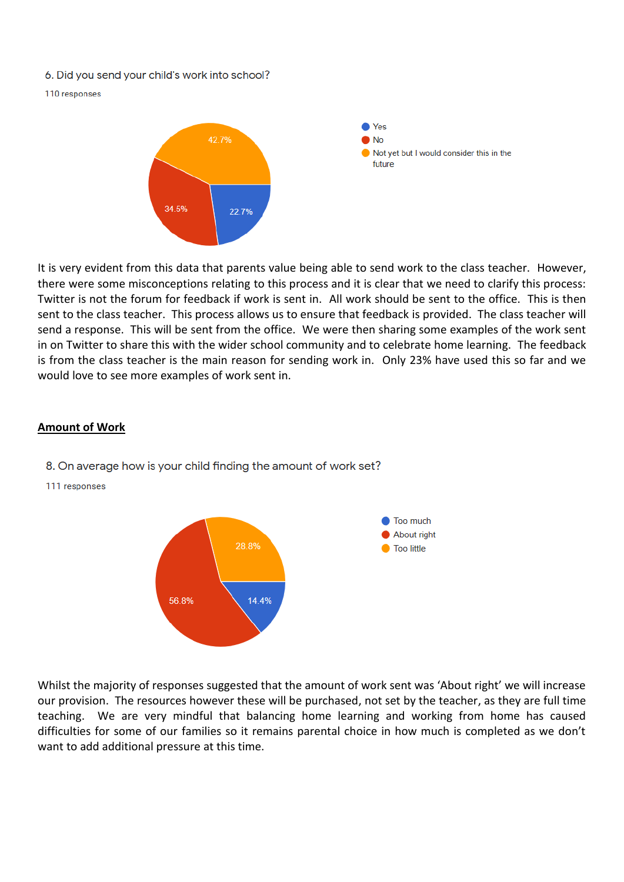- 6. Did you send your child's work into school?
- 110 responses



It is very evident from this data that parents value being able to send work to the class teacher. However, there were some misconceptions relating to this process and it is clear that we need to clarify this process: Twitter is not the forum for feedback if work is sent in. All work should be sent to the office. This is then sent to the class teacher. This process allows us to ensure that feedback is provided. The class teacher will send a response. This will be sent from the office. We were then sharing some examples of the work sent in on Twitter to share this with the wider school community and to celebrate home learning. The feedback is from the class teacher is the main reason for sending work in. Only 23% have used this so far and we would love to see more examples of work sent in.

#### **Amount of Work**

- 8. On average how is your child finding the amount of work set?
- 111 responses



Whilst the majority of responses suggested that the amount of work sent was 'About right' we will increase our provision. The resources however these will be purchased, not set by the teacher, as they are full time teaching. We are very mindful that balancing home learning and working from home has caused difficulties for some of our families so it remains parental choice in how much is completed as we don't want to add additional pressure at this time.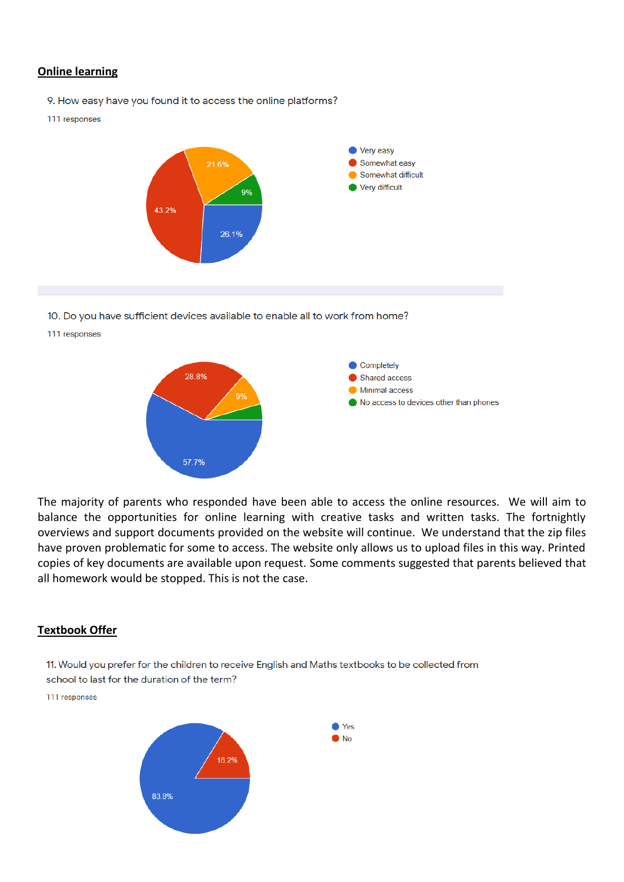### **Online learning**

- 9. How easy have you found it to access the online platforms?
- 111 responses



- 10. Do you have sufficient devices available to enable all to work from home?
- 111 responses



The majority of parents who responded have been able to access the online resources. We will aim to balance the opportunities for online learning with creative tasks and written tasks. The fortnightly overviews and support documents provided on the website will continue. We understand that the zip files have proven problematic for some to access. The website only allows us to upload files in this way. Printed copies of key documents are available upon request. Some comments suggested that parents believed that all homework would be stopped. This is not the case.

#### **Textbook Offer**

11. Would you prefer for the children to receive English and Maths textbooks to be collected from

school to last for the duration of the term?

111 responses